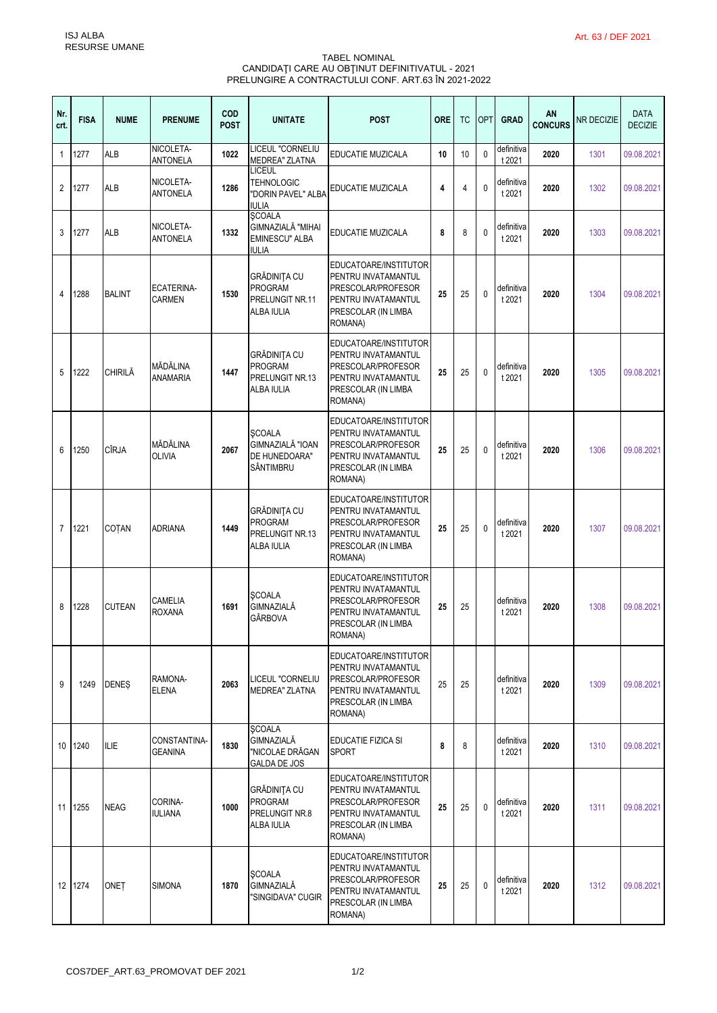## TABEL NOMINAL CANDIDAŢI CARE AU OBŢINUT DEFINITIVATUL - 2021 PRELUNGIRE A CONTRACTULUI CONF. ART.63 ÎN 2021-2022

| Nr.<br>crt.    | <b>FISA</b> | <b>NUME</b>   | <b>PRENUME</b>                     | <b>COD</b><br><b>POST</b> | <b>UNITATE</b>                                                                | <b>POST</b>                                                                                                                 | <b>ORE</b> | <b>TC</b> | <b>OPT</b>   | <b>GRAD</b>          | ΑN<br><b>CONCURS</b> | <b>NR DECIZIE</b> | <b>DATA</b><br><b>DECIZIE</b> |
|----------------|-------------|---------------|------------------------------------|---------------------------|-------------------------------------------------------------------------------|-----------------------------------------------------------------------------------------------------------------------------|------------|-----------|--------------|----------------------|----------------------|-------------------|-------------------------------|
| $\mathbf{1}$   | 1277        | <b>ALB</b>    | NICOLETA-<br>ANTONELA              | 1022                      | LICEUL "CORNELIU<br><b>MEDREA" ZLATNA</b>                                     | EDUCATIE MUZICALA                                                                                                           | 10         | 10        | $\mathbf{0}$ | definitiva<br>t 2021 | 2020                 | 1301              | 09.08.2021                    |
| 2              | 1277        | ALB           | NICOLETA-<br><b>ANTONELA</b>       | 1286                      | <b>LICEUL</b><br><b>TEHNOLOGIC</b><br>"DORIN PAVEL" ALBA<br><b>IULIA</b>      | EDUCATIE MUZICALA                                                                                                           | 4          | 4         | 0            | definitiva<br>t 2021 | 2020                 | 1302              | 09.08.2021                    |
| 3              | 1277        | <b>ALB</b>    | NICOLETA-<br><b>ANTONELA</b>       | 1332                      | <b>SCOALA</b><br>GIMNAZIALĂ "MIHAI<br><b>EMINESCU" ALBA</b><br>iulia          | EDUCATIE MUZICALA                                                                                                           | 8          | 8         | 0            | definitiva<br>t 2021 | 2020                 | 1303              | 09.08.2021                    |
| 4              | 1288        | <b>BALINT</b> | <b>ECATERINA-</b><br><b>CARMEN</b> | 1530                      | <b>GRĂDINITA CU</b><br>PROGRAM<br>PRELUNGIT NR.11<br>ALBA IULIA               | EDUCATOARE/INSTITUTOR<br>PENTRU INVATAMANTUL<br>PRESCOLAR/PROFESOR<br>PENTRU INVATAMANTUL<br>PRESCOLAR (IN LIMBA<br>ROMANA) | 25         | 25        | $\mathbf{0}$ | definitiva<br>t 2021 | 2020                 | 1304              | 09.08.2021                    |
| 5              | 1222        | CHIRILĂ       | MĂDĂLINA<br><b>ANAMARIA</b>        | 1447                      | <b>GRĂDINITA CU</b><br><b>PROGRAM</b><br>PRELUNGIT NR.13<br><b>ALBA IULIA</b> | EDUCATOARE/INSTITUTOR<br>PENTRU INVATAMANTUL<br>PRESCOLAR/PROFESOR<br>PENTRU INVATAMANTUL<br>PRESCOLAR (IN LIMBA<br>ROMANA) | 25         | 25        | $\mathbf{0}$ | definitiva<br>t 2021 | 2020                 | 1305              | 09.08.2021                    |
| 6              | 1250        | CÎRJA         | MĂDĂLINA<br><b>OLIVIA</b>          | 2067                      | <b>SCOALA</b><br>GIMNAZIALĂ "IOAN<br>DE HUNEDOARA"<br>SÂNTIMBRU               | EDUCATOARE/INSTITUTOR<br>PENTRU INVATAMANTUL<br>PRESCOLAR/PROFESOR<br>PENTRU INVATAMANTUL<br>PRESCOLAR (IN LIMBA<br>ROMANA) | 25         | 25        | 0            | definitiva<br>t 2021 | 2020                 | 1306              | 09.08.2021                    |
| $\overline{7}$ | 1221        | COTAN         | <b>ADRIANA</b>                     | 1449                      | GRĂDINIȚA CU<br><b>PROGRAM</b><br>PRELUNGIT NR.13<br>ALBA IULIA               | EDUCATOARE/INSTITUTOR<br>PENTRU INVATAMANTUL<br>PRESCOLAR/PROFESOR<br>PENTRU INVATAMANTUL<br>PRESCOLAR (IN LIMBA<br>ROMANA) | 25         | 25        | 0            | definitiva<br>t 2021 | 2020                 | 1307              | 09.08.2021                    |
| 8              | 1228        | CUTEAN        | <b>CAMELIA</b><br><b>ROXANA</b>    | 1691                      | <b>SCOALA</b><br>GIMNAZIALĂ<br>GÂRBOVA                                        | EDUCATOARE/INSTITUTOR<br>PENTRU INVATAMANTUL<br>PRESCOLAR/PROFESOR<br>PENTRU INVATAMANTUL<br>PRESCOLAR (IN LIMBA<br>ROMANA) | 25         | 25        |              | definitiva<br>t 2021 | 2020                 | 1308              | 09.08.2021                    |
| 9              | 1249        | <b>DENES</b>  | RAMONA-<br><b>ELENA</b>            | 2063                      | LICEUL "CORNELIU<br><b>MEDREA" ZLATNA</b>                                     | EDUCATOARE/INSTITUTOR<br>PENTRU INVATAMANTUL<br>PRESCOLAR/PROFESOR<br>PENTRU INVATAMANTUL<br>PRESCOLAR (IN LIMBA<br>ROMANA) | 25         | 25        |              | definitiva<br>t 2021 | 2020                 | 1309              | 09.08.2021                    |
| 10             | 1240        | <b>ILIE</b>   | CONSTANTINA-<br><b>GEANINA</b>     | 1830                      | <b>SCOALA</b><br>GIMNAZIALĂ<br>"NICOLAE DRĂGAN<br>GALDA DE JOS                | EDUCATIE FIZICA SI<br><b>SPORT</b>                                                                                          | 8          | 8         |              | definitiva<br>t 2021 | 2020                 | 1310              | 09.08.2021                    |
|                | 11 1255     | <b>NEAG</b>   | CORINA-<br><b>IULIANA</b>          | 1000                      | <b>GRĂDINITA CU</b><br>PROGRAM<br>PRELUNGIT NR.8<br>ALBA IULIA                | EDUCATOARE/INSTITUTOR<br>PENTRU INVATAMANTUL<br>PRESCOLAR/PROFESOR<br>PENTRU INVATAMANTUL<br>PRESCOLAR (IN LIMBA<br>ROMANA) | 25         | 25        | 0            | definitiva<br>t 2021 | 2020                 | 1311              | 09.08.2021                    |
|                | 12 1274     | ONET          | <b>SIMONA</b>                      | 1870                      | <b>SCOALA</b><br>GIMNAZIALĂ<br>"SINGIDAVA" CUGIR                              | EDUCATOARE/INSTITUTOR<br>PENTRU INVATAMANTUL<br>PRESCOLAR/PROFESOR<br>PENTRU INVATAMANTUL<br>PRESCOLAR (IN LIMBA<br>ROMANA) | 25         | 25        | 0            | definitiva<br>t 2021 | 2020                 | 1312              | 09.08.2021                    |